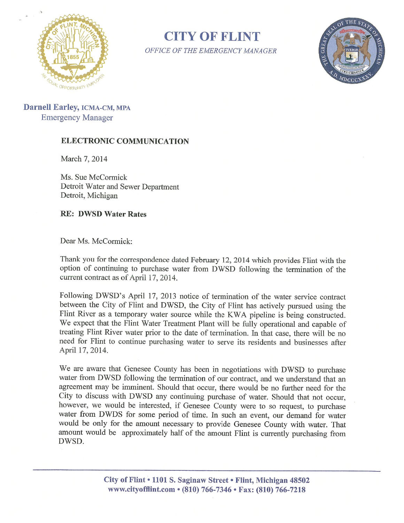

**CITY OF FLINT** OFFICE OF THE EMERGENCY MANAGER



Darnell Earley, ICMA-CM, MPA Emergency Manager

## ELECTRONIC COMMUNICATION

March 7, 2014

Ms. Sue McCormick Detroit Water and Sewer Department Detroit, Michigan

RE: DWSD Water Rates

Dear Ms. McCormick:

Thank you for the correspondence dated February 12, 2014 which provides Flint with the option of continuing to purchase water from DWSD following the termination of the current contract as of April 17, 2014.

Following DWSD's April 17, 2013 notice of termination of the water service contract between the City of Flint and DWSD, the City of Flint has actively pursued using the Flint River as <sup>a</sup> temporary water source while the KWA pipeline is being constructed. We expect that the Flint Water Treatment Plant will be fully operational and capable of treating Flint River water prior to the date of termination. In that case, there will be no need for Flint to continue purchasing water to serve its residents and businesses after April 17, 2014.

We are aware that Genesee County has been in negotiations with DWSD to purchase water from DWSD following the termination of our contract, and we understand that an agreement may be imminent. Should that occur, there would be no further need for the City to discuss with DWSD any continuing purchase of water. Should that not occur, however, we would be interested, if Genesee County were to so request, to purchase water from DWDS for some period of time. In such an event, our demand for water would be only for the amount necessary to provide Genesee County with water. That amount would be approximately half of the amount Flint is currently purchasing from DWSD.